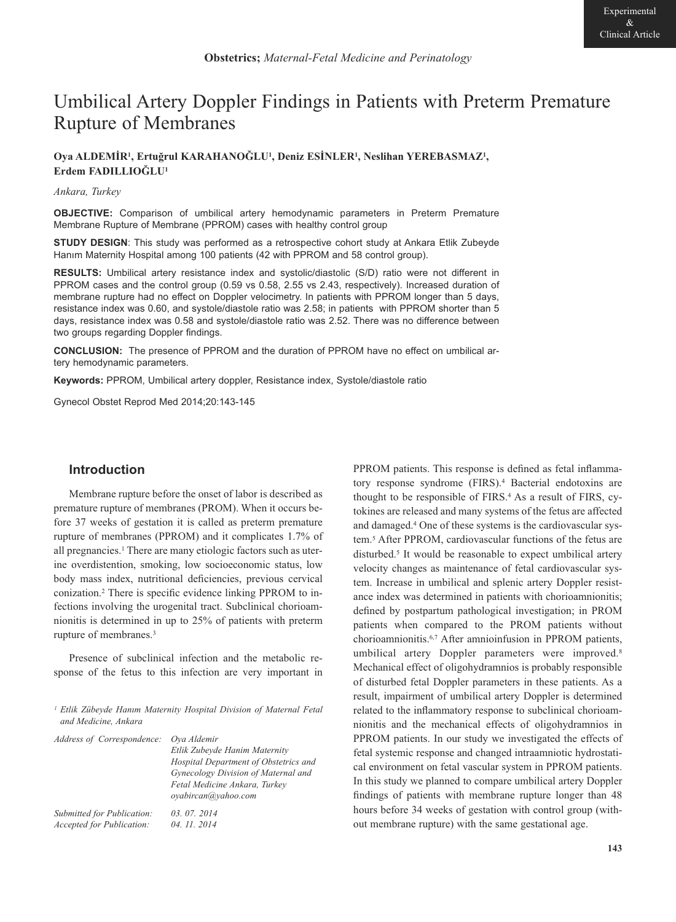# Umbilical Artery Doppler Findings in Patients with Preterm Premature Rupture of Membranes

#### **Oya ALDEMİR1, Ertuğrul KARAHANOĞLU1, Deniz ESİNLER1, Neslihan YEREBASMAZ1, Erdem FADILLIOĞLU1**

#### *Ankara, Turkey*

**OBJECTIVE:** Comparison of umbilical artery hemodynamic parameters in Preterm Premature Membrane Rupture of Membrane (PPROM) cases with healthy control group

**STUDY DESIGN**: This study was performed as a retrospective cohort study at Ankara Etlik Zubeyde Hanım Maternity Hospital among 100 patients (42 with PPROM and 58 control group).

**RESULTS:** Umbilical artery resistance index and systolic/diastolic (S/D) ratio were not different in PPROM cases and the control group (0.59 vs 0.58, 2.55 vs 2.43, respectively). Increased duration of membrane rupture had no effect on Doppler velocimetry. In patients with PPROM longer than 5 days, resistance index was 0.60, and systole/diastole ratio was 2.58; in patients with PPROM shorter than 5 days, resistance index was 0.58 and systole/diastole ratio was 2.52. There was no difference between two groups regarding Doppler findings.

**CONCLUSION:** The presence of PPROM and the duration of PPROM have no effect on umbilical artery hemodynamic parameters.

**Keywords:** PPROM, Umbilical artery doppler, Resistance index, Systole/diastole ratio

Gynecol Obstet Reprod Med 2014;20:143-145

#### **Introduction**

Membrane rupture before the onset of labor is described as premature rupture of membranes (PROM). When it occurs before 37 weeks of gestation it is called as preterm premature rupture of membranes (PPROM) and it complicates 1.7% of all pregnancies.<sup>1</sup> There are many etiologic factors such as uterine overdistention, smoking, low socioeconomic status, low body mass index, nutritional deficiencies, previous cervical conization.2 There is specific evidence linking PPROM to infections involving the urogenital tract. Subclinical chorioamnionitis is determined in up to 25% of patients with preterm rupture of membranes.3

Presence of subclinical infection and the metabolic response of the fetus to this infection are very important in

*<sup>1</sup> Etlik Zübeyde Hanım Maternity Hospital Division of Maternal Fetal and Medicine, Ankara*

| Address of Correspondence: | Ova Aldemir<br>Etlik Zubeyde Hanim Maternity<br>Hospital Department of Obstetrics and<br>Gynecology Division of Maternal and<br>Fetal Medicine Ankara, Turkey<br>oyabircan@yahoo.com |
|----------------------------|--------------------------------------------------------------------------------------------------------------------------------------------------------------------------------------|
| Submitted for Publication: | 03.07.2014                                                                                                                                                                           |
| Accepted for Publication:  | 04. 11. 2014                                                                                                                                                                         |

PPROM patients. This response is defined as fetal inflammatory response syndrome (FIRS).<sup>4</sup> Bacterial endotoxins are thought to be responsible of FIRS.<sup>4</sup> As a result of FIRS, cytokines are released and many systems of the fetus are affected and damaged.4 One of these systems is the cardiovascular system.5 After PPROM, cardiovascular functions of the fetus are disturbed.<sup>5</sup> It would be reasonable to expect umbilical artery velocity changes as maintenance of fetal cardiovascular system. Increase in umbilical and splenic artery Doppler resistance index was determined in patients with chorioamnionitis; defined by postpartum pathological investigation; in PROM patients when compared to the PROM patients without chorioamnionitis.6,7 After amnioinfusion in PPROM patients, umbilical artery Doppler parameters were improved.<sup>8</sup> Mechanical effect of oligohydramnios is probably responsible of disturbed fetal Doppler parameters in these patients. As a result, impairment of umbilical artery Doppler is determined related to the inflammatory response to subclinical chorioamnionitis and the mechanical effects of oligohydramnios in PPROM patients. In our study we investigated the effects of fetal systemic response and changed intraamniotic hydrostatical environment on fetal vascular system in PPROM patients. In this study we planned to compare umbilical artery Doppler findings of patients with membrane rupture longer than 48 hours before 34 weeks of gestation with control group (without membrane rupture) with the same gestational age.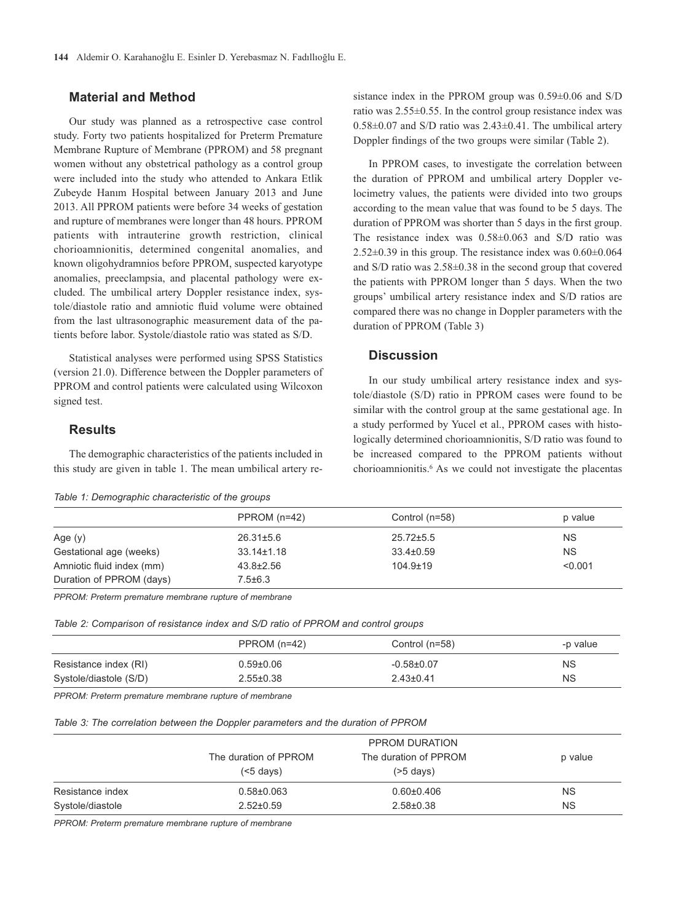# **Material and Method**

Our study was planned as a retrospective case control study. Forty two patients hospitalized for Preterm Premature Membrane Rupture of Membrane (PPROM) and 58 pregnant women without any obstetrical pathology as a control group were included into the study who attended to Ankara Etlik Zubeyde Hanım Hospital between January 2013 and June 2013. All PPROM patients were before 34 weeks of gestation and rupture of membranes were longer than 48 hours. PPROM patients with intrauterine growth restriction, clinical chorioamnionitis, determined congenital anomalies, and known oligohydramnios before PPROM, suspected karyotype anomalies, preeclampsia, and placental pathology were excluded. The umbilical artery Doppler resistance index, systole/diastole ratio and amniotic fluid volume were obtained from the last ultrasonographic measurement data of the patients before labor. Systole/diastole ratio was stated as S/D.

Statistical analyses were performed using SPSS Statistics (version 21.0). Difference between the Doppler parameters of PPROM and control patients were calculated using Wilcoxon signed test.

# **Results**

The demographic characteristics of the patients included in this study are given in table 1. The mean umbilical artery re-

#### *Table 1: Demographic characteristic of the groups*

sistance index in the PPROM group was 0.59±0.06 and S/D ratio was 2.55±0.55. In the control group resistance index was  $0.58\pm0.07$  and S/D ratio was 2.43 $\pm0.41$ . The umbilical artery Doppler findings of the two groups were similar (Table 2).

In PPROM cases, to investigate the correlation between the duration of PPROM and umbilical artery Doppler velocimetry values, the patients were divided into two groups according to the mean value that was found to be 5 days. The duration of PPROM was shorter than 5 days in the first group. The resistance index was 0.58±0.063 and S/D ratio was  $2.52\pm0.39$  in this group. The resistance index was  $0.60\pm0.064$ and S/D ratio was 2.58±0.38 in the second group that covered the patients with PPROM longer than 5 days. When the two groups' umbilical artery resistance index and S/D ratios are compared there was no change in Doppler parameters with the duration of PPROM (Table 3)

### **Discussion**

In our study umbilical artery resistance index and systole/diastole (S/D) ratio in PPROM cases were found to be similar with the control group at the same gestational age. In a study performed by Yucel et al., PPROM cases with histologically determined chorioamnionitis, S/D ratio was found to be increased compared to the PPROM patients without chorioamnionitis.6 As we could not investigate the placentas

|                           | $PPROM (n=42)$   | Control $(n=58)$ | p value   |
|---------------------------|------------------|------------------|-----------|
| Age $(y)$                 | $26.31 \pm 5.6$  | $25.72 \pm 5.5$  | <b>NS</b> |
| Gestational age (weeks)   | $33.14 \pm 1.18$ | $33.4 \pm 0.59$  | <b>NS</b> |
| Amniotic fluid index (mm) | $43.8 \pm 2.56$  | $104.9 \pm 19$   | < 0.001   |
| Duration of PPROM (days)  | $7.5 \pm 6.3$    |                  |           |

*PPROM: Preterm premature membrane rupture of membrane*

*Table 2: Comparison of resistance index and S/D ratio of PPROM and control groups*

|                        | $PPROM (n=42)$  | Control (n=58)  | -p value  |
|------------------------|-----------------|-----------------|-----------|
| Resistance index (RI)  | $0.59 \pm 0.06$ | $-0.58 + 0.07$  | <b>NS</b> |
| Systole/diastole (S/D) | $2.55 \pm 0.38$ | $2.43 \pm 0.41$ | <b>NS</b> |

*PPROM: Preterm premature membrane rupture of membrane*

| Table 3: The correlation between the Doppler parameters and the duration of PPROM |  |  |
|-----------------------------------------------------------------------------------|--|--|
|-----------------------------------------------------------------------------------|--|--|

|                  | PPROM DURATION        |                       |           |
|------------------|-----------------------|-----------------------|-----------|
|                  | The duration of PPROM | The duration of PPROM | p value   |
|                  | $(<5 \text{ days})$   | $($ >5 days)          |           |
| Resistance index | $0.58 \pm 0.063$      | $0.60 \pm 0.406$      | <b>NS</b> |
| Systole/diastole | $2.52 \pm 0.59$       | $2.58 \pm 0.38$       | <b>NS</b> |

*PPROM: Preterm premature membrane rupture of membrane*